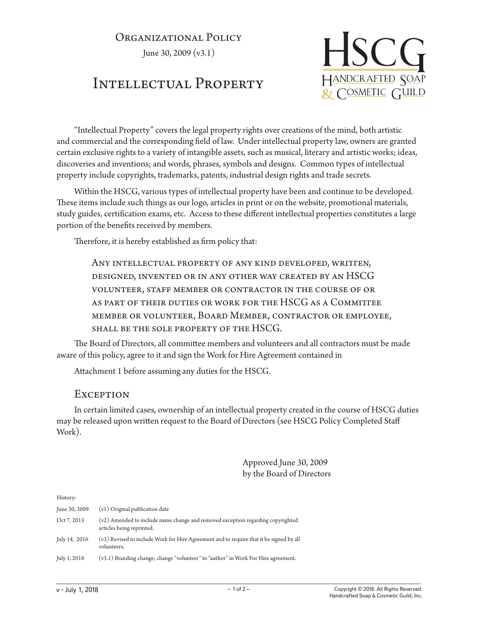### ORGANIZATIONAL POLICY

June 30, 2009 (v3.1)

# Intellectual Property



"Intellectual Property" covers the legal property rights over creations of the mind, both artistic and commercial and the corresponding field of law. Under intellectual property law, owners are granted certain exclusive rights to a variety of intangible assets, such as musical, literary and artistic works; ideas, discoveries and inventions; and words, phrases, symbols and designs. Common types of intellectual property include copyrights, trademarks, patents, industrial design rights and trade secrets.

Within the HSCG, various types of intellectual property have been and continue to be developed. These items include such things as our logo, articles in print or on the website, promotional materials, study guides, certification exams, etc. Access to these different intellectual properties constitutes a large portion of the benefits received by members.

Therefore, it is hereby established as firm policy that:

Any intellectual property of any kind developed, written, designed, invented or in any other way created by an HSCG volunteer, staff member or contractor in the course of or as part of their duties or work for the HSCG as a Committee member or volunteer, Board Member, contractor or employee, shall be the sole property of the HSCG.

The Board of Directors, all committee members and volunteers and all contractors must be made aware of this policy, agree to it and sign the Work for Hire Agreement contained in

Attachment 1 before assuming any duties for the HSCG.

#### **EXCEPTION**

In certain limited cases, ownership of an intellectual property created in the course of HSCG duties may be released upon written request to the Board of Directors (see HSCG Policy Completed Staff Work).

> Approved June 30, 2009 by the Board of Directors

History:

| June 30, 2009 | (v1) Original publication date                                                                               |
|---------------|--------------------------------------------------------------------------------------------------------------|
| Oct 7, 2013   | (v2) Amended to include name change and removed exception regarding copyrighted<br>articles being reprinted. |
| July 14, 2016 | (v3) Revised to include Work for Hire Agreement and to require that it be signed by all<br>volunteers.       |
| July 1, 2018  | (v3.1) Branding change; change "volunteer" to "author" in Work For Hire agreement.                           |